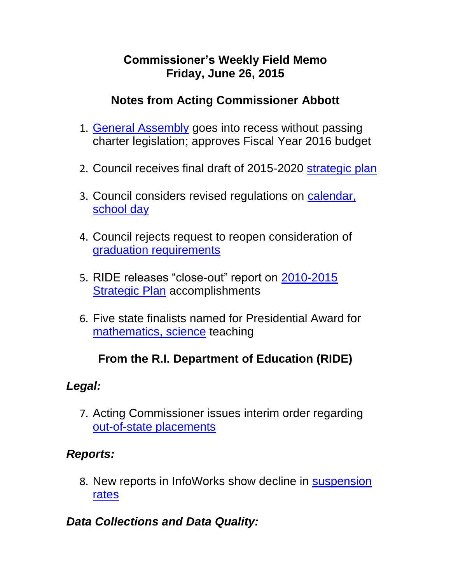#### **Commissioner's Weekly Field Memo Friday, June 26, 2015**

### **Notes from Acting Commissioner Abbott**

- 1. [General Assembly](#page-2-0) goes into recess without passing charter legislation; approves Fiscal Year 2016 budget
- 2. Council receives final draft of 2015-2020 [strategic plan](#page-2-0)
- 3. Council considers revised regulations on [calendar,](#page-5-0)  [school day](#page-5-0)
- 4. Council rejects request to reopen consideration of [graduation requirements](#page-6-0)
- 5. RIDE releases "close-out" report on [2010-2015](#page-6-1)  **[Strategic Plan](#page-6-1)** accomplishments
- 6. Five state finalists named for Presidential Award for [mathematics, science](#page-7-0) teaching

# **From the R.I. Department of Education (RIDE)**

### *Legal:*

7. Acting Commissioner issues interim order regarding [out-of-state placements](#page-8-0)

### *Reports:*

8. New reports in InfoWorks show decline in **suspension** [rates](#page-9-0)

# *Data Collections and Data Quality:*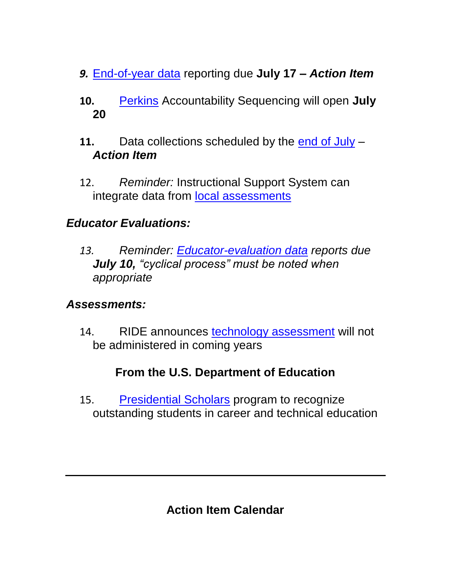- *9.* [End-of-year data](#page-10-0) reporting due **July 17 –** *Action Item*
- **10.** [Perkins](#page-11-0) Accountability Sequencing will open **July 20**
- **11.** Data collections scheduled by the [end of July](#page-12-0) *Action Item*
- 12. *Reminder:* Instructional Support System can integrate data from [local assessments](#page-13-0)

### *Educator Evaluations:*

*13. Reminder: [Educator-evaluation data](#page-13-1) reports due July 10, "cyclical process" must be noted when appropriate* 

#### *Assessments:*

14. RIDE announces [technology assessment](#page-14-0) will not be administered in coming years

### **From the U.S. Department of Education**

15. [Presidential Scholars](#page-15-0) program to recognize outstanding students in career and technical education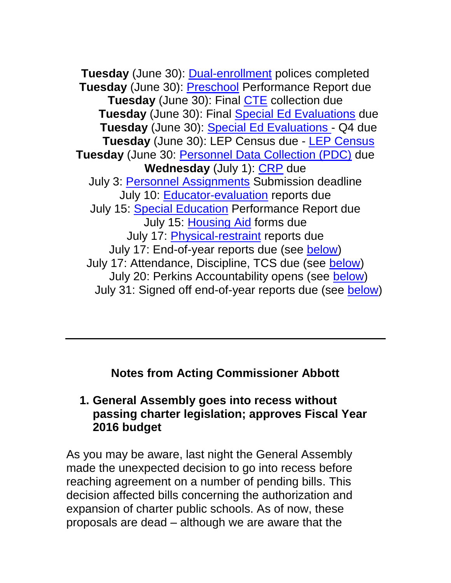**Tuesday** (June 30): [Dual-enrollment](http://ride.ri.gov/Portals/0/Uploads/Documents/050115-FM.pdf) polices completed **Tuesday** (June 30): **Preschool** Performance Report due **Tuesday** (June 30): Final [CTE](http://ride.ri.gov/Portals/0/Uploads/Documents/FieldMemos/052915-FM.pdf) collection due **Tuesday** (June 30): Final [Special Ed Evaluations](https://www.eride.ri.gov/eRide40/DataDictionary/ViewDetails.aspx?ID=175) due **Tuesday** (June 30): [Special Ed Evaluations -](https://www.eride.ri.gov/eRide40/DataDictionary/ViewDetails.aspx?ID=175) Q4 due **Tuesday** (June 30): LEP Census due - [LEP Census](https://www.eride.ri.gov/eRide40/DataDictionary/ViewDetails.aspx?ID=5) **Tuesday** (June 30: [Personnel Data Collection \(PDC\)](https://www.eride.ri.gov/eRide40/DataDictionary/ViewDetails.aspx?ID=278) due Wednesday (July 1): [CRP](http://www.ride.ri.gov/Portals/0/Uploads/Documents/050815-FM.pdf) due July 3: Personnel [Assignments](http://ride.ri.gov/Portals/0/Uploads/Documents/FieldMemos/061915-FM.pdf) Submission deadline July 10: [Educator-evaluation](http://www.ride.ri.gov/Portals/0/Uploads/Documents/051515-FM%20.pdf) reports due July 15: [Special Education](http://www.ride.ri.gov/Portals/0/Uploads/Documents/050815-FM.pdf) Performance Report due July 15: [Housing Aid](http://www.ride.ri.gov/Portals/0/Uploads/Documents/051515-FM%20.pdf) forms due July 17: [Physical-restraint](http://ride.ri.gov/Portals/0/Uploads/Documents/FieldMemos/061915-FM.pdf) reports due July 17: End-of-year reports due (see [below\)](#page-10-0) July 17: Attendance, Discipline, TCS due (see [below\)](#page-12-0) July 20: Perkins Accountability opens (see [below\)](#page-12-0) July 31: Signed off end-of-year reports due (see [below\)](#page-12-0)

**Notes from Acting Commissioner Abbott**

#### <span id="page-2-0"></span>**1. General Assembly goes into recess without passing charter legislation; approves Fiscal Year 2016 budget**

As you may be aware, last night the General Assembly made the unexpected decision to go into recess before reaching agreement on a number of pending bills. This decision affected bills concerning the authorization and expansion of charter public schools. As of now, these proposals are dead – although we are aware that the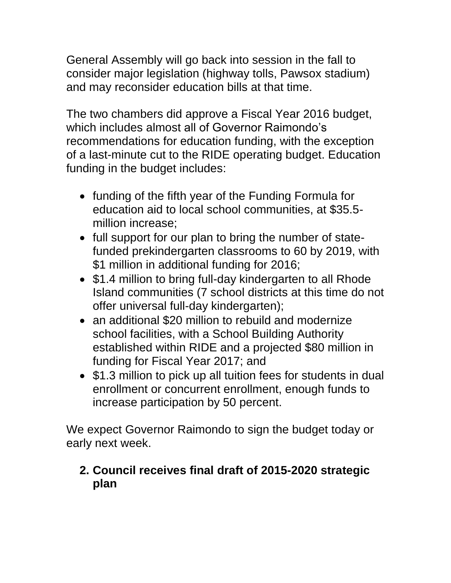General Assembly will go back into session in the fall to consider major legislation (highway tolls, Pawsox stadium) and may reconsider education bills at that time.

The two chambers did approve a Fiscal Year 2016 budget, which includes almost all of Governor Raimondo's recommendations for education funding, with the exception of a last-minute cut to the RIDE operating budget. Education funding in the budget includes:

- funding of the fifth year of the Funding Formula for education aid to local school communities, at \$35.5 million increase;
- full support for our plan to bring the number of statefunded prekindergarten classrooms to 60 by 2019, with \$1 million in additional funding for 2016;
- \$1.4 million to bring full-day kindergarten to all Rhode Island communities (7 school districts at this time do not offer universal full-day kindergarten);
- an additional \$20 million to rebuild and modernize school facilities, with a School Building Authority established within RIDE and a projected \$80 million in funding for Fiscal Year 2017; and
- \$1.3 million to pick up all tuition fees for students in dual enrollment or concurrent enrollment, enough funds to increase participation by 50 percent.

We expect Governor Raimondo to sign the budget today or early next week.

### **2. Council receives final draft of 2015-2020 strategic plan**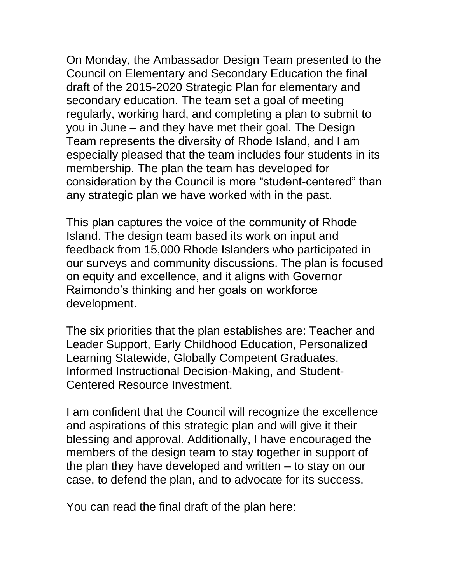On Monday, the Ambassador Design Team presented to the Council on Elementary and Secondary Education the final draft of the 2015-2020 Strategic Plan for elementary and secondary education. The team set a goal of meeting regularly, working hard, and completing a plan to submit to you in June – and they have met their goal. The Design Team represents the diversity of Rhode Island, and I am especially pleased that the team includes four students in its membership. The plan the team has developed for consideration by the Council is more "student-centered" than any strategic plan we have worked with in the past.

This plan captures the voice of the community of Rhode Island. The design team based its work on input and feedback from 15,000 Rhode Islanders who participated in our surveys and community discussions. The plan is focused on equity and excellence, and it aligns with Governor Raimondo's thinking and her goals on workforce development.

The six priorities that the plan establishes are: Teacher and Leader Support, Early Childhood Education, Personalized Learning Statewide, Globally Competent Graduates, Informed Instructional Decision-Making, and Student-Centered Resource Investment.

I am confident that the Council will recognize the excellence and aspirations of this strategic plan and will give it their blessing and approval. Additionally, I have encouraged the members of the design team to stay together in support of the plan they have developed and written – to stay on our case, to defend the plan, and to advocate for its success.

You can read the final draft of the plan here: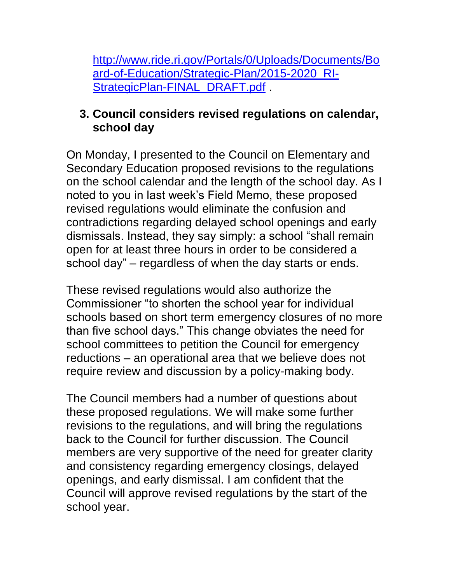[http://www.ride.ri.gov/Portals/0/Uploads/Documents/Bo](http://www.ride.ri.gov/Portals/0/Uploads/Documents/Board-of-Education/Strategic-Plan/2015-2020_RI-StrategicPlan-FINAL_DRAFT.pdf) [ard-of-Education/Strategic-Plan/2015-2020\\_RI-](http://www.ride.ri.gov/Portals/0/Uploads/Documents/Board-of-Education/Strategic-Plan/2015-2020_RI-StrategicPlan-FINAL_DRAFT.pdf)[StrategicPlan-FINAL\\_DRAFT.pdf](http://www.ride.ri.gov/Portals/0/Uploads/Documents/Board-of-Education/Strategic-Plan/2015-2020_RI-StrategicPlan-FINAL_DRAFT.pdf)

#### <span id="page-5-0"></span>**3. Council considers revised regulations on calendar, school day**

On Monday, I presented to the Council on Elementary and Secondary Education proposed revisions to the regulations on the school calendar and the length of the school day. As I noted to you in last week's Field Memo, these proposed revised regulations would eliminate the confusion and contradictions regarding delayed school openings and early dismissals. Instead, they say simply: a school "shall remain open for at least three hours in order to be considered a school day" – regardless of when the day starts or ends.

These revised regulations would also authorize the Commissioner "to shorten the school year for individual schools based on short term emergency closures of no more than five school days." This change obviates the need for school committees to petition the Council for emergency reductions – an operational area that we believe does not require review and discussion by a policy-making body.

The Council members had a number of questions about these proposed regulations. We will make some further revisions to the regulations, and will bring the regulations back to the Council for further discussion. The Council members are very supportive of the need for greater clarity and consistency regarding emergency closings, delayed openings, and early dismissal. I am confident that the Council will approve revised regulations by the start of the school year.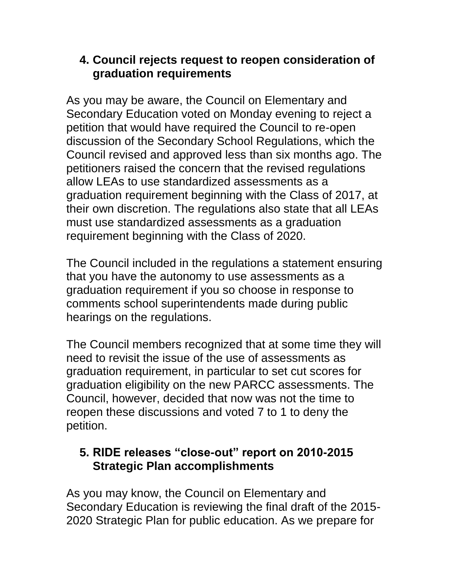#### <span id="page-6-0"></span>**4. Council rejects request to reopen consideration of graduation requirements**

As you may be aware, the Council on Elementary and Secondary Education voted on Monday evening to reject a petition that would have required the Council to re-open discussion of the Secondary School Regulations, which the Council revised and approved less than six months ago. The petitioners raised the concern that the revised regulations allow LEAs to use standardized assessments as a graduation requirement beginning with the Class of 2017, at their own discretion. The regulations also state that all LEAs must use standardized assessments as a graduation requirement beginning with the Class of 2020.

The Council included in the regulations a statement ensuring that you have the autonomy to use assessments as a graduation requirement if you so choose in response to comments school superintendents made during public hearings on the regulations.

The Council members recognized that at some time they will need to revisit the issue of the use of assessments as graduation requirement, in particular to set cut scores for graduation eligibility on the new PARCC assessments. The Council, however, decided that now was not the time to reopen these discussions and voted 7 to 1 to deny the petition.

## <span id="page-6-1"></span>**5. RIDE releases "close-out" report on 2010-2015 Strategic Plan accomplishments**

As you may know, the Council on Elementary and Secondary Education is reviewing the final draft of the 2015- 2020 Strategic Plan for public education. As we prepare for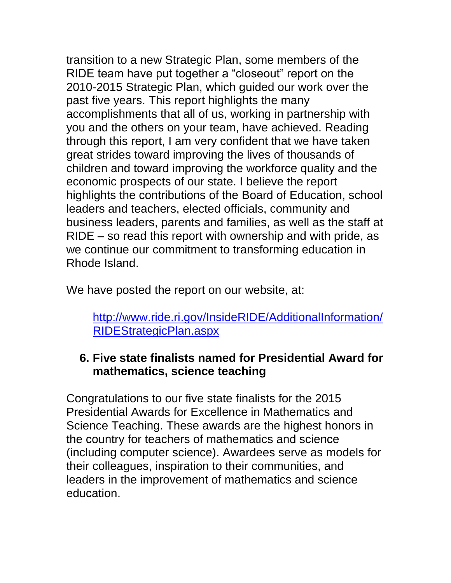transition to a new Strategic Plan, some members of the RIDE team have put together a "closeout" report on the 2010-2015 Strategic Plan, which guided our work over the past five years. This report highlights the many accomplishments that all of us, working in partnership with you and the others on your team, have achieved. Reading through this report, I am very confident that we have taken great strides toward improving the lives of thousands of children and toward improving the workforce quality and the economic prospects of our state. I believe the report highlights the contributions of the Board of Education, school leaders and teachers, elected officials, community and business leaders, parents and families, as well as the staff at RIDE – so read this report with ownership and with pride, as we continue our commitment to transforming education in Rhode Island.

We have posted the report on our website, at:

#### [http://www.ride.ri.gov/InsideRIDE/AdditionalInformation/](http://www.ride.ri.gov/InsideRIDE/AdditionalInformation/RIDEStrategicPlan.aspx) [RIDEStrategicPlan.aspx](http://www.ride.ri.gov/InsideRIDE/AdditionalInformation/RIDEStrategicPlan.aspx)

### <span id="page-7-0"></span>**6. Five state finalists named for Presidential Award for mathematics, science teaching**

Congratulations to our five state finalists for the 2015 Presidential Awards for Excellence in Mathematics and Science Teaching. These awards are the highest honors in the country for teachers of mathematics and science (including computer science). Awardees serve as models for their colleagues, inspiration to their communities, and leaders in the improvement of mathematics and science education.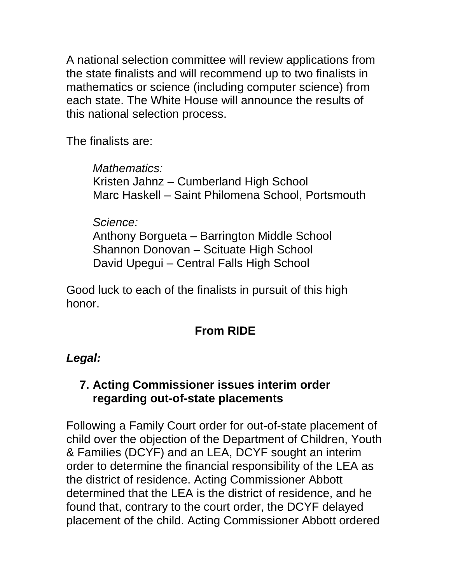A national selection committee will review applications from the state finalists and will recommend up to two finalists in mathematics or science (including computer science) from each state. The White House will announce the results of this national selection process.

The finalists are:

*Mathematics:* Kristen Jahnz – Cumberland High School Marc Haskell – Saint Philomena School, Portsmouth

*Science:*

Anthony Borgueta – Barrington Middle School Shannon Donovan – Scituate High School David Upegui – Central Falls High School

Good luck to each of the finalists in pursuit of this high honor.

# **From RIDE**

# *Legal:*

## <span id="page-8-0"></span>**7. Acting Commissioner issues interim order regarding out-of-state placements**

Following a Family Court order for out-of-state placement of child over the objection of the Department of Children, Youth & Families (DCYF) and an LEA, DCYF sought an interim order to determine the financial responsibility of the LEA as the district of residence. Acting Commissioner Abbott determined that the LEA is the district of residence, and he found that, contrary to the court order, the DCYF delayed placement of the child. Acting Commissioner Abbott ordered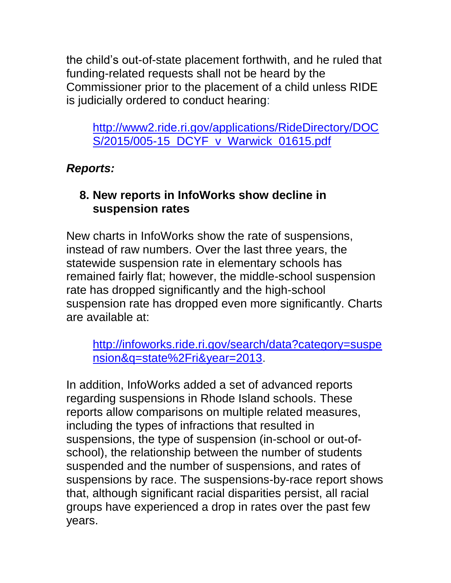the child's out-of-state placement forthwith, and he ruled that funding-related requests shall not be heard by the Commissioner prior to the placement of a child unless RIDE is judicially ordered to conduct hearing:

[http://www2.ride.ri.gov/applications/RideDirectory/DOC](http://www2.ride.ri.gov/applications/RideDirectory/DOCS/2015/005-15_DCYF_v_Warwick_01615.pdf) [S/2015/005-15\\_DCYF\\_v\\_Warwick\\_01615.pdf](http://www2.ride.ri.gov/applications/RideDirectory/DOCS/2015/005-15_DCYF_v_Warwick_01615.pdf)

## *Reports:*

# <span id="page-9-0"></span>**8. New reports in InfoWorks show decline in suspension rates**

New charts in InfoWorks show the rate of suspensions, instead of raw numbers. Over the last three years, the statewide suspension rate in elementary schools has remained fairly flat; however, the middle-school suspension rate has dropped significantly and the high-school suspension rate has dropped even more significantly. Charts are available at:

[http://infoworks.ride.ri.gov/search/data?category=suspe](http://infoworks.ride.ri.gov/search/data?category=suspension&q=state%2Fri&year=2013) [nsion&q=state%2Fri&year=2013.](http://infoworks.ride.ri.gov/search/data?category=suspension&q=state%2Fri&year=2013)

In addition, InfoWorks added a set of advanced reports regarding suspensions in Rhode Island schools. These reports allow comparisons on multiple related measures, including the types of infractions that resulted in suspensions, the type of suspension (in-school or out-ofschool), the relationship between the number of students suspended and the number of suspensions, and rates of suspensions by race. The suspensions-by-race report shows that, although significant racial disparities persist, all racial groups have experienced a drop in rates over the past few years.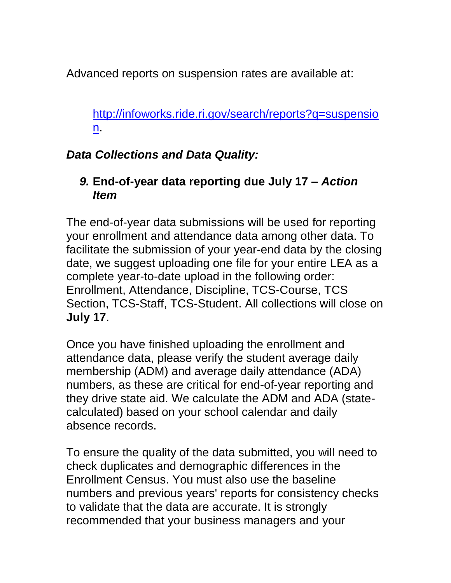Advanced reports on suspension rates are available at:

[http://infoworks.ride.ri.gov/search/reports?q=suspensio](http://infoworks.ride.ri.gov/search/reports?q=suspension) [n.](http://infoworks.ride.ri.gov/search/reports?q=suspension)

#### *Data Collections and Data Quality:*

#### <span id="page-10-0"></span>*9.* **End-of-year data reporting due July 17 –** *Action Item*

The end-of-year data submissions will be used for reporting your enrollment and attendance data among other data. To facilitate the submission of your year-end data by the closing date, we suggest uploading one file for your entire LEA as a complete year-to-date upload in the following order: Enrollment, Attendance, Discipline, TCS-Course, TCS Section, TCS-Staff, TCS-Student. All collections will close on **July 17**.

Once you have finished uploading the enrollment and attendance data, please verify the student average daily membership (ADM) and average daily attendance (ADA) numbers, as these are critical for end-of-year reporting and they drive state aid. We calculate the ADM and ADA (statecalculated) based on your school calendar and daily absence records.

To ensure the quality of the data submitted, you will need to check duplicates and demographic differences in the Enrollment Census. You must also use the baseline numbers and previous years' reports for consistency checks to validate that the data are accurate. It is strongly recommended that your business managers and your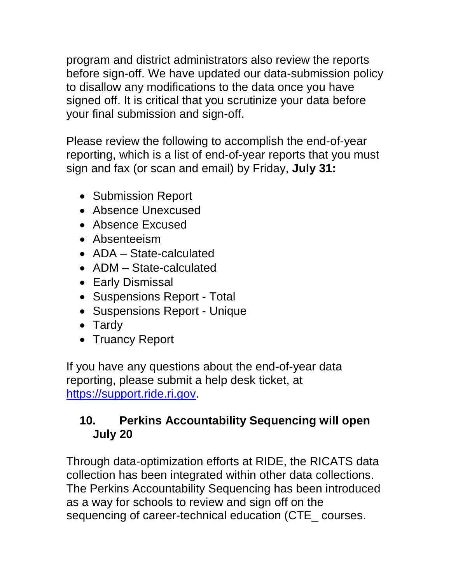program and district administrators also review the reports before sign-off. We have updated our data-submission policy to disallow any modifications to the data once you have signed off. It is critical that you scrutinize your data before your final submission and sign-off.

Please review the following to accomplish the end-of-year reporting, which is a list of end-of-year reports that you must sign and fax (or scan and email) by Friday, **July 31:** 

- Submission Report
- Absence Unexcused
- Absence Excused
- Absenteeism
- ADA State-calculated
- ADM State-calculated
- Early Dismissal
- Suspensions Report Total
- Suspensions Report Unique
- Tardy
- Truancy Report

If you have any questions about the end-of-year data reporting, please submit a help desk ticket, at [https://support.ride.ri.gov.](https://support.ride.ri.gov/)

### <span id="page-11-0"></span>**10. Perkins Accountability Sequencing will open July 20**

Through data-optimization efforts at RIDE, the RICATS data collection has been integrated within other data collections. The Perkins Accountability Sequencing has been introduced as a way for schools to review and sign off on the sequencing of career-technical education (CTE\_ courses.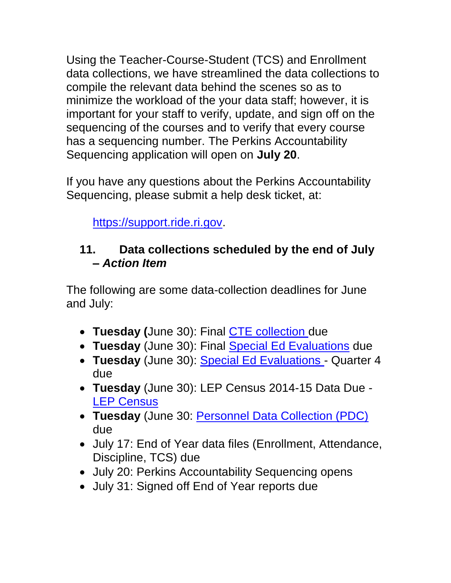Using the Teacher-Course-Student (TCS) and Enrollment data collections, we have streamlined the data collections to compile the relevant data behind the scenes so as to minimize the workload of the your data staff; however, it is important for your staff to verify, update, and sign off on the sequencing of the courses and to verify that every course has a sequencing number. The Perkins Accountability Sequencing application will open on **July 20**.

If you have any questions about the Perkins Accountability Sequencing, please submit a help desk ticket, at:

[https://support.ride.ri.gov.](https://support.ride.ri.gov/)

### <span id="page-12-0"></span>**11. Data collections scheduled by the end of July –** *Action Item*

The following are some data-collection deadlines for June and July:

- **Tuesday (**June 30): Final [CTE collection d](https://www.eride.ri.gov/eRide40/DataDictionary/ViewDetails.aspx?ID=278)ue
- **Tuesday** (June 30): Final [Special Ed Evaluations](https://www.eride.ri.gov/eRide40/DataDictionary/ViewDetails.aspx?ID=175) due
- **Tuesday** (June 30): [Special Ed Evaluations -](https://www.eride.ri.gov/eRide40/DataDictionary/ViewDetails.aspx?ID=175) Quarter 4 due
- **Tuesday** (June 30): LEP Census 2014-15 Data Due [LEP Census](https://www.eride.ri.gov/eRide40/DataDictionary/ViewDetails.aspx?ID=5)
- **Tuesday** (June 30: [Personnel Data Collection \(PDC\)](https://www.eride.ri.gov/eRide40/DataDictionary/ViewDetails.aspx?ID=278) due
- July 17: End of Year data files (Enrollment, Attendance, Discipline, TCS) due
- July 20: Perkins Accountability Sequencing opens
- July 31: Signed off End of Year reports due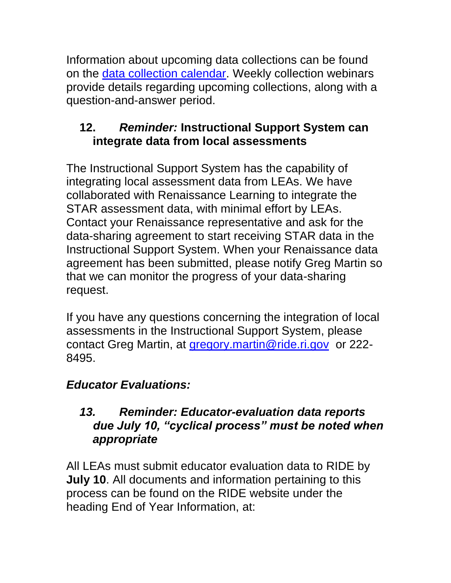Information about upcoming data collections can be found on the [data collection calendar.](https://www.eride.ri.gov/eRide40/DataDictionary/Calendar.aspx) Weekly collection webinars provide details regarding upcoming collections, along with a question-and-answer period.

# <span id="page-13-0"></span>**12.** *Reminder:* **Instructional Support System can integrate data from local assessments**

The Instructional Support System has the capability of integrating local assessment data from LEAs. We have collaborated with Renaissance Learning to integrate the STAR assessment data, with minimal effort by LEAs. Contact your Renaissance representative and ask for the data-sharing agreement to start receiving STAR data in the Instructional Support System. When your Renaissance data agreement has been submitted, please notify Greg Martin so that we can monitor the progress of your data-sharing request.

If you have any questions concerning the integration of local assessments in the Instructional Support System, please contact Greg Martin, at [gregory.martin@ride.ri.gov](mailto:gregory.martin@ride.ri.gov) or 222- 8495.

# *Educator Evaluations:*

#### <span id="page-13-1"></span>*13. Reminder: Educator-evaluation data reports due July 10, "cyclical process" must be noted when appropriate*

All LEAs must submit educator evaluation data to RIDE by **July 10**. All documents and information pertaining to this process can be found on the RIDE website under the heading End of Year Information, at: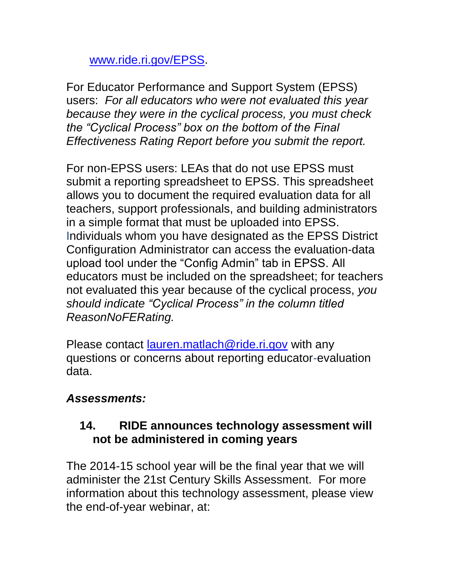[www.ride.ri.gov/EPSS.](http://www.ride.ri.gov/EPSS)

For Educator Performance and Support System (EPSS) users: *For all educators who were not evaluated this year because they were in the cyclical process, you must check the "Cyclical Process" box on the bottom of the Final Effectiveness Rating Report before you submit the report.* 

For non-EPSS users: LEAs that do not use EPSS must submit a reporting spreadsheet to EPSS. This spreadsheet allows you to document the required evaluation data for all teachers, support professionals, and building administrators in a simple format that must be uploaded into EPSS. Individuals whom you have designated as the EPSS District Configuration Administrator can access the evaluation-data upload tool under the "Config Admin" tab in EPSS. All educators must be included on the spreadsheet; for teachers not evaluated this year because of the cyclical process, *you should indicate "Cyclical Process" in the column titled ReasonNoFERating.* 

Please contact [lauren.matlach@ride.ri.gov](mailto:lauren.matlach@ride.ri.gov) with any questions or concerns about reporting educator-evaluation data.

#### *Assessments:*

#### <span id="page-14-0"></span>**14. RIDE announces technology assessment will not be administered in coming years**

The 2014-15 school year will be the final year that we will administer the 21st Century Skills Assessment. For more information about this technology assessment, please view the end-of-year webinar, at: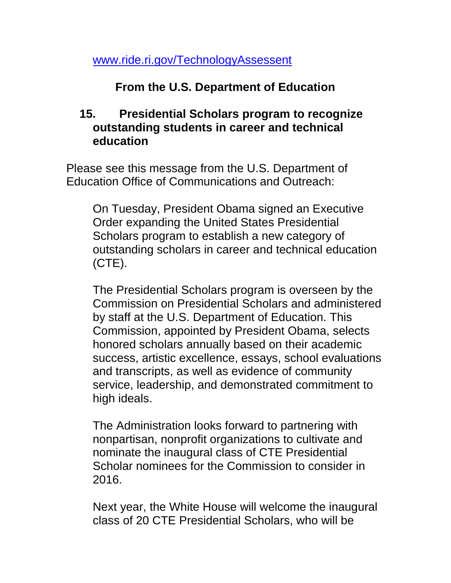[www.ride.ri.gov/TechnologyAssessent](http://www.ride.ri.gov/TechnologyAssessent)

### **From the U.S. Department of Education**

#### <span id="page-15-0"></span>**15. Presidential Scholars program to recognize outstanding students in career and technical education**

Please see this message from the U.S. Department of Education Office of Communications and Outreach:

On Tuesday, President Obama signed an Executive Order expanding the United States Presidential Scholars program to establish a new category of outstanding scholars in career and technical education (CTE).

The Presidential Scholars program is overseen by the Commission on Presidential Scholars and administered by staff at the U.S. Department of Education. This Commission, appointed by President Obama, selects honored scholars annually based on their academic success, artistic excellence, essays, school evaluations and transcripts, as well as evidence of community service, leadership, and demonstrated commitment to high ideals.

The Administration looks forward to partnering with nonpartisan, nonprofit organizations to cultivate and nominate the inaugural class of CTE Presidential Scholar nominees for the Commission to consider in 2016.

Next year, the White House will welcome the inaugural class of 20 CTE Presidential Scholars, who will be